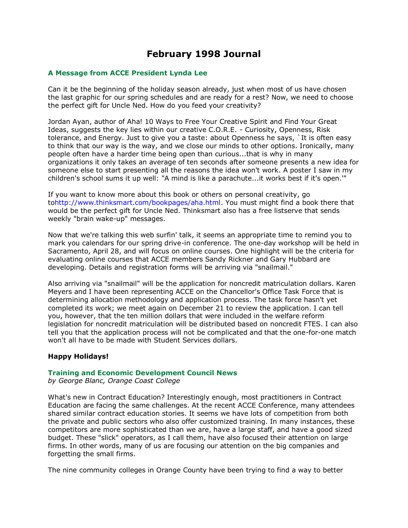# **February 1998 Journal**

## **A Message from ACCE President Lynda Lee**

Can it be the beginning of the holiday season already, just when most of us have chosen the last graphic for our spring schedules and are ready for a rest? Now, we need to choose the perfect gift for Uncle Ned. How do you feed your creativity?

Jordan Ayan, author of Aha! 10 Ways to Free Your Creative Spirit and Find Your Great Ideas, suggests the key lies within our creative C.O.R.E. - Curiosity, Openness, Risk tolerance, and Energy. Just to give you a taste: about Openness he says, `It is often easy to think that our way is the way, and we close our minds to other options. Ironically, many people often have a harder time being open than curious...that is why in many organizations it only takes an average of ten seconds after someone presents a new idea for someone else to start presenting all the reasons the idea won't work. A poster I saw in my children's school sums it up well: "A mind is like a parachute...it works best if it's open.'"

If you want to know more about this book or others on personal creativity, go t[ohttp://www.thinksmart.com/bookpages/aha.html.](http://www.thinksmart.com/bookpages/aha.html) You must might find a book there that would be the perfect gift for Uncle Ned. Thinksmart also has a free listserve that sends weekly "brain wake-up" messages.

Now that we're talking this web surfin' talk, it seems an appropriate time to remind you to mark you calendars for our spring drive-in conference. The one-day workshop will be held in Sacramento, April 28, and will focus on online courses. One highlight will be the criteria for evaluating online courses that ACCE members Sandy Rickner and Gary Hubbard are developing. Details and registration forms will be arriving via "snailmail."

Also arriving via "snailmail" will be the application for noncredit matriculation dollars. Karen Meyers and I have been representing ACCE on the Chancellor's Office Task Force that is determining allocation methodology and application process. The task force hasn't yet completed its work; we meet again on December 21 to review the application. I can tell you, however, that the ten million dollars that were included in the welfare reform legislation for noncredit matriculation will be distributed based on noncredit FTES. I can also tell you that the application process will not be complicated and that the one-for-one match won't all have to be made with Student Services dollars.

## **Happy Holidays!**

#### **Training and Economic Development Council News**

*by George Blanc, Orange Coast College*

What's new in Contract Education? Interestingly enough, most practitioners in Contract Education are facing the same challenges. At the recent ACCE Conference, many attendees shared similar contract education stories. It seems we have lots of competition from both the private and public sectors who also offer customized training. In many instances, these competitors are more sophisticated than we are, have a large staff, and have a good sized budget. These "slick" operators, as I call them, have also focused their attention on large firms. In other words, many of us are focusing our attention on the big companies and forgetting the small firms.

The nine community colleges in Orange County have been trying to find a way to better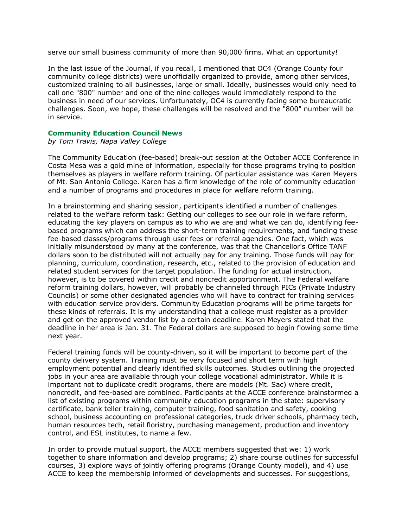serve our small business community of more than 90,000 firms. What an opportunity!

In the last issue of the Journal, if you recall, I mentioned that OC4 (Orange County four community college districts) were unofficially organized to provide, among other services, customized training to all businesses, large or small. Ideally, businesses would only need to call one "800" number and one of the nine colleges would immediately respond to the business in need of our services. Unfortunately, OC4 is currently facing some bureaucratic challenges. Soon, we hope, these challenges will be resolved and the "800" number will be in service.

## **Community Education Council News**

*by Tom Travis, Napa Valley College*

The Community Education (fee-based) break-out session at the October ACCE Conference in Costa Mesa was a gold mine of information, especially for those programs trying to position themselves as players in welfare reform training. Of particular assistance was Karen Meyers of Mt. San Antonio College. Karen has a firm knowledge of the role of community education and a number of programs and procedures in place for welfare reform training.

In a brainstorming and sharing session, participants identified a number of challenges related to the welfare reform task: Getting our colleges to see our role in welfare reform, educating the key players on campus as to who we are and what we can do, identifying feebased programs which can address the short-term training requirements, and funding these fee-based classes/programs through user fees or referral agencies. One fact, which was initially misunderstood by many at the conference, was that the Chancellor's Office TANF dollars soon to be distributed will not actually pay for any training. Those funds will pay for planning, curriculum, coordination, research, etc., related to the provision of education and related student services for the target population. The funding for actual instruction, however, is to be covered within credit and noncredit apportionment. The Federal welfare reform training dollars, however, will probably be channeled through PICs (Private Industry Councils) or some other designated agencies who will have to contract for training services with education service providers. Community Education programs will be prime targets for these kinds of referrals. It is my understanding that a college must register as a provider and get on the approved vendor list by a certain deadline. Karen Meyers stated that the deadline in her area is Jan. 31. The Federal dollars are supposed to begin flowing some time next year.

Federal training funds will be county-driven, so it will be important to become part of the county delivery system. Training must be very focused and short term with high employment potential and clearly identified skills outcomes. Studies outlining the projected jobs in your area are available through your college vocational administrator. While it is important not to duplicate credit programs, there are models (Mt. Sac) where credit, noncredit, and fee-based are combined. Participants at the ACCE conference brainstormed a list of existing programs within community education programs in the state: supervisory certificate, bank teller training, computer training, food sanitation and safety, cooking school, business accounting on professional categories, truck driver schools, pharmacy tech, human resources tech, retail floristry, purchasing management, production and inventory control, and ESL institutes, to name a few.

In order to provide mutual support, the ACCE members suggested that we: 1) work together to share information and develop programs; 2) share course outlines for successful courses, 3) explore ways of jointly offering programs (Orange County model), and 4) use ACCE to keep the membership informed of developments and successes. For suggestions,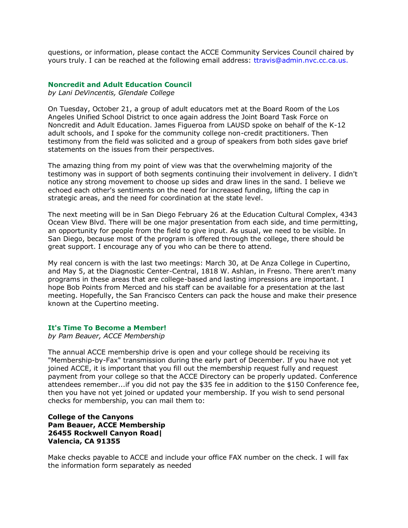questions, or information, please contact the ACCE Community Services Council chaired by yours truly. I can be reached at the following email address: [ttravis@admin.nvc.cc.ca.us.](mailto:ttravis@admin.nvc.cc.ca.us.)

#### **Noncredit and Adult Education Council**

*by Lani DeVincentis, Glendale College*

On Tuesday, October 21, a group of adult educators met at the Board Room of the Los Angeles Unified School District to once again address the Joint Board Task Force on Noncredit and Adult Education. James Figueroa from LAUSD spoke on behalf of the K-12 adult schools, and I spoke for the community college non-credit practitioners. Then testimony from the field was solicited and a group of speakers from both sides gave brief statements on the issues from their perspectives.

The amazing thing from my point of view was that the overwhelming majority of the testimony was in support of both segments continuing their involvement in delivery. I didn't notice any strong movement to choose up sides and draw lines in the sand. I believe we echoed each other's sentiments on the need for increased funding, lifting the cap in strategic areas, and the need for coordination at the state level.

The next meeting will be in San Diego February 26 at the Education Cultural Complex, 4343 Ocean View Blvd. There will be one major presentation from each side, and time permitting, an opportunity for people from the field to give input. As usual, we need to be visible. In San Diego, because most of the program is offered through the college, there should be great support. I encourage any of you who can be there to attend.

My real concern is with the last two meetings: March 30, at De Anza College in Cupertino, and May 5, at the Diagnostic Center-Central, 1818 W. Ashlan, in Fresno. There aren't many programs in these areas that are college-based and lasting impressions are important. I hope Bob Points from Merced and his staff can be available for a presentation at the last meeting. Hopefully, the San Francisco Centers can pack the house and make their presence known at the Cupertino meeting.

#### **It's Time To Become a Member!**

*by Pam Beauer, ACCE Membership*

The annual ACCE membership drive is open and your college should be receiving its "Membership-by-Fax" transmission during the early part of December. If you have not yet joined ACCE, it is important that you fill out the membership request fully and request payment from your college so that the ACCE Directory can be properly updated. Conference attendees remember...if you did not pay the \$35 fee in addition to the \$150 Conference fee, then you have not yet joined or updated your membership. If you wish to send personal checks for membership, you can mail them to:

### **College of the Canyons Pam Beauer, ACCE Membership 26455 Rockwell Canyon Road| Valencia, CA 91355**

Make checks payable to ACCE and include your office FAX number on the check. I will fax the information form separately as needed